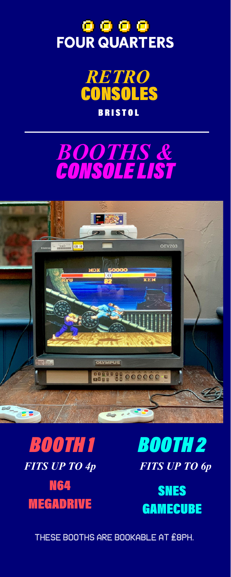# **O O O O**<br>FOUR QUARTERS









*BOOTH 2 FITS UP TO 4p FITS UP TO 6p*



THESE BOOTHS ARE BOOKABLE AT £8PH.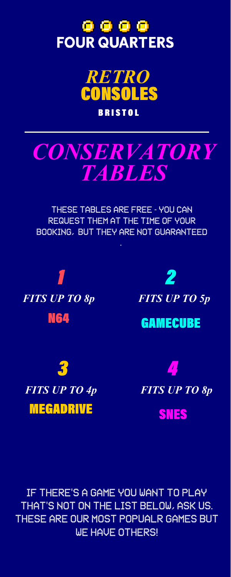## **O O O O**<br>FOUR QUARTERS





THESE TABLES ARE FREE - YOU CAN REQUEST THEM AT THE TIME OF YOUR BOOKING, BUT THEY ARE NOT GUARANTEED



*2*



GAMECUBE



*4*

SNES

IF THERE'S A GAME YOU WANT TO PLAY THAT'S NOT ON THE LIST BELOW, ASK US. THESE ARE OUR MOST POPUALR GAMES BUT WE HAVE OTHERS!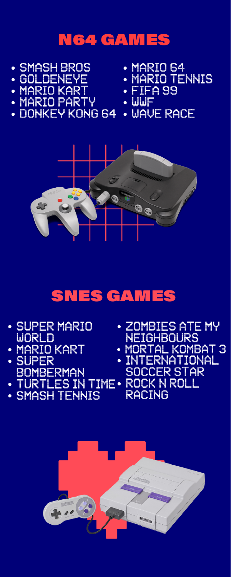#### N64 GAMES

- SMASH BROS
- GOLDENEYE
- MARIO KART
- · MARIO PARTY DONKEY KONG 64
- MARIO 64
- MARIO TENNIS
- FIFA 99
- $\overline{\phantom{a}}$  wwf
- WAVE RACE



#### SNES GAMES

- SUPER MARIO
- WORLD MARIO KART
- SUPER **BOMBERMAN**
- TURTLES IN TIME ROCK N ROLL
- SMASH TENNIS
- **. ZOMBIES ATE MY NEIGHBOURS**
- MORTAL KOMBAT 3
- INTERNATIONAL SOCCER STAR RACING